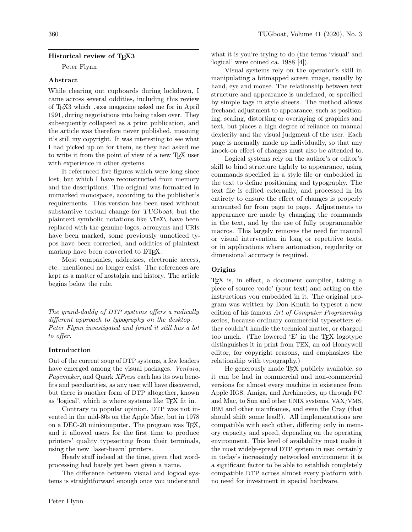## Historical review of TFX3

Peter Flynn

### Abstract

While clearing out cupboards during lockdown, I came across several oddities, including this review of TEX3 which .exe magazine asked me for in April 1991, during negotiations into being taken over. They subsequently collapsed as a print publication, and the article was therefore never published, meaning it's still my copyright. It was interesting to see what I had picked up on for them, as they had asked me to write it from the point of view of a new TEX user with experience in other systems.

It referenced five figures which were long since lost, but which I have reconstructed from memory and the descriptions. The original was formatted in unmarked monospace, according to the publisher's requirements. This version has been used without substantive textual change for TUGboat, but the plaintext symbolic notations like \TeX\ have been replaced with the genuine logos, acronyms and URIs have been marked, some previously unnoticed typos have been corrected, and oddities of plaintext markup have been converted to LAT<sub>F</sub>X.

Most companies, addresses, electronic access, etc., mentioned no longer exist. The references are kept as a matter of nostalgia and history. The article begins below the rule.

The grand-daddy of DTP systems offers a radically different approach to typography on the desktop. Peter Flynn investigated and found it still has a lot to offer.

### Introduction

Out of the current soup of DTP systems, a few leaders have emerged among the visual packages. Ventura, Pagemaker, and Quark XPress each has its own benefits and peculiarities, as any user will have discovered, but there is another form of DTP altogether, known as 'logical', which is where systems like T<sub>EX</sub> fit in.

Contrary to popular opinion, DTP was not invented in the mid-80s on the Apple Mac, but in 1978 on a DEC-20 minicomputer. The program was TFX, and it allowed users for the first time to produce printers' quality typesetting from their terminals, using the new 'laser-beam' printers.

Heady stuff indeed at the time, given that wordprocessing had barely yet been given a name.

The difference between visual and logical systems is straightforward enough once you understand

what it is you're trying to do (the terms 'visual' and 'logical' were coined ca. 1988 [4]).

Visual systems rely on the operator's skill in manipulating a bitmapped screen image, usually by hand, eye and mouse. The relationship between text structure and appearance is undefined, or specified by simple tags in style sheets. The method allows freehand adjustment to appearance, such as positioning, scaling, distorting or overlaying of graphics and text, but places a high degree of reliance on manual dexterity and the visual judgment of the user. Each page is normally made up individually, so that any knock-on effect of changes must also be attended to.

Logical systems rely on the author's or editor's skill to bind structure tightly to appearance, using commands specified in a style file or embedded in the text to define positioning and typography. The text file is edited externally, and processed in its entirety to ensure the effect of changes is properly accounted for from page to page. Adjustments to appearance are made by changing the commands in the text, and by the use of fully programmable macros. This largely removes the need for manual or visual intervention in long or repetitive texts, or in applications where automation, regularity or dimensional accuracy is required.

### Origins

TEX is, in effect, a document compiler, taking a piece of source 'code' (your text) and acting on the instructions you embedded in it. The original program was written by Don Knuth to typeset a new edition of his famous Art of Computer Programming series, because ordinary commercial typesetters either couldn't handle the technical matter, or charged too much. (The lowered  $E'$  in the T<sub>EX</sub> logotype distinguishes it in print from TEX, an old Honeywell editor, for copyright reasons, and emphasizes the relationship with typography.)

He generously made TEX publicly available, so it can be had in commercial and non-commercial versions for almost every machine in existence from Apple IIGS, Amiga, and Archimedes, up through PC and Mac, to Sun and other UNIX systems, VAX/VMS, IBM and other mainframes, and even the Cray (that should shift some lead!). All implementations are compatible with each other, differing only in memory capacity and speed, depending on the operating environment. This level of availability must make it the most widely-spread DTP system in use: certainly in today's increasingly networked environment it is a significant factor to be able to establish completely compatible DTP across almost every platform with no need for investment in special hardware.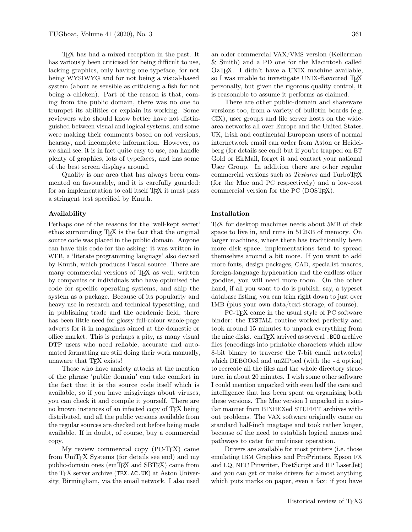TEX has had a mixed reception in the past. It has variously been criticised for being difficult to use, lacking graphics, only having one typeface, for not being WYSIWYG and for not being a visual-based system (about as sensible as criticising a fish for not being a chicken). Part of the reason is that, coming from the public domain, there was no one to trumpet its abilities or explain its working. Some reviewers who should know better have not distinguished between visual and logical systems, and some were making their comments based on old versions, hearsay, and incomplete information. However, as we shall see, it is in fact quite easy to use, can handle plenty of graphics, lots of typefaces, and has some of the best screen displays around.

Quality is one area that has always been commented on favourably, and it is carefully guarded: for an implementation to call itself T<sub>E</sub>X it must pass a stringent test specified by Knuth.

#### Availability

Perhaps one of the reasons for the 'well-kept secret' ethos surrounding TEX is the fact that the original source code was placed in the public domain. Anyone can have this code for the asking: it was written in WEB, a 'literate programming language' also devised by Knuth, which produces Pascal source. There are many commercial versions of T<sub>E</sub>X as well, written by companies or individuals who have optimised the code for specific operating systems, and ship the system as a package. Because of its popularity and heavy use in research and technical typesetting, and in publishing trade and the academic field, there has been little need for glossy full-colour whole-page adverts for it in magazines aimed at the domestic or office market. This is perhaps a pity, as many visual DTP users who need reliable, accurate and automated formatting are still doing their work manually, unaware that TFX exists!

Those who have anxiety attacks at the mention of the phrase 'public domain' can take comfort in the fact that it is the source code itself which is available, so if you have misgivings about viruses, you can check it and compile it yourself. There are no known instances of an infected copy of TEX being distributed, and all the public versions available from the regular sources are checked out before being made available. If in doubt, of course, buy a commercial copy.

My review commercial copy (PC-TEX) came from UniT<sub>EX</sub> Systems (for details see end) and my public-domain ones (emTEX and SBTEX) came from the T<sub>F</sub>X server archive (TEX.AC.UK) at Aston University, Birmingham, via the email network. I also used

an older commercial VAX/VMS version (Kellerman & Smith) and a PD one for the Macintosh called OzTEX. I didn't have a UNIX machine available, so I was unable to investigate UNIX-flavoured TFX personally, but given the rigorous quality control, it is reasonable to assume it performs as claimed.

There are other public-domain and shareware versions too, from a variety of bulletin boards (e.g. CIX), user groups and file server hosts on the widearea networks all over Europe and the United States. UK, Irish and continental European users of normal internetwork email can order from Aston or Heidelberg (for details see end) but if you're trapped on BT Gold or EirMail, forget it and contact your national User Group. In addition there are other regular commercial versions such as *Textures* and TurboT<sub>EX</sub> (for the Mac and PC respectively) and a low-cost commercial version for the PC (DOST<sub>F</sub>X).

### Installation

TEX for desktop machines needs about 5MB of disk space to live in, and runs in 512KB of memory. On larger machines, where there has traditionally been more disk space, implementations tend to spread themselves around a bit more. If you want to add more fonts, design packages, CAD, specialist macros, foreign-language hyphenation and the endless other goodies, you will need more room. On the other hand, if all you want to do is publish, say, a typeset database listing, you can trim right down to just over 1MB (plus your own data/text storage, of course).

PC-TEX came in the usual style of PC software binder: the INSTALL routine worked perfectly and took around 15 minutes to unpack everything from the nine disks. emTFX arrived as several .BOO archive files (encodings into printable characters which allow 8-bit binary to traverse the 7-bit email networks) which DEBOOed and unZIPped (with the  $-d$  option) to recreate all the files and the whole directory structure, in about 20 minutes. I wish some other software I could mention unpacked with even half the care and intelligence that has been spent on organising both these versions. The Mac version I unpacked in a similar manner from BINHEXed STUFFIT archives without problems. The VAX software originally came on standard half-inch magtape and took rather longer, because of the need to establish logical names and pathways to cater for multiuser operation.

Drivers are available for most printers (i.e. those emulating IBM Graphics and ProPrinters, Epson FX and LQ, NEC Pinwriter, PostScript and HP LaserJet) and you can get or make drivers for almost anything which puts marks on paper, even a fax: if you have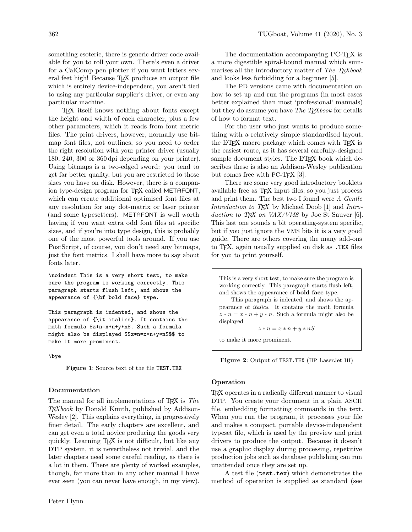something esoteric, there is generic driver code available for you to roll your own. There's even a driver for a CalComp pen plotter if you want letters several feet high! Because TEX produces an output file which is entirely device-independent, you aren't tied to using any particular supplier's driver, or even any particular machine.

TEX itself knows nothing about fonts except the height and width of each character, plus a few other parameters, which it reads from font metric files. The print drivers, however, normally use bitmap font files, not outlines, so you need to order the right resolution with your printer driver (usually 180, 240, 300 or 360 dpi depending on your printer). Using bitmaps is a two-edged sword: you tend to get far better quality, but you are restricted to those sizes you have on disk. However, there is a companion type-design program for T<sub>EX</sub> called METAFONT, which can create additional optimised font files at any resolution for any dot-matrix or laser printer (and some typesetters). METAFONT is well worth having if you want extra odd font files at specific sizes, and if you're into type design, this is probably one of the most powerful tools around. If you use PostScript, of course, you don't need any bitmaps, just the font metrics. I shall have more to say about fonts later.

\noindent This is a very short test, to make sure the program is working correctly. This paragraph starts flush left, and shows the appearance of {\bf bold face} type.

This paragraph is indented, and shows the appearance of {\it italics}. It contains the math formula \$z\*n=x\*n+y\*n\$. Such a formula might also be displayed \$\$z\*n=x\*n+y\*nS\$\$ to make it more prominent.

\bye

Figure 1: Source text of the file TEST.TEX

## Documentation

The manual for all implementations of T<sub>F</sub>X is The TEXbook by Donald Knuth, published by Addison-Wesley [2]. This explains everything, in progressively finer detail. The early chapters are excellent, and can get even a total novice producing the goods very quickly. Learning TEX is not difficult, but like any DTP system, it is nevertheless not trivial, and the later chapters need some careful reading, as there is a lot in them. There are plenty of worked examples, though, far more than in any other manual I have ever seen (you can never have enough, in my view).

The documentation accompanying PC-T<sub>E</sub>X is a more digestible spiral-bound manual which summarises all the introductory matter of The TEXbook and looks less forbidding for a beginner [5].

The PD versions came with documentation on how to set up and run the programs (in most cases better explained than most 'professional' manuals) but they do assume you have The TEXbook for details of how to format text.

For the user who just wants to produce something with a relatively simple standardised layout, the LATEX macro package which comes with TEX is the easiest route, as it has several carefully-designed sample document styles. The LAT<sub>EX</sub> book which describes these is also an Addison-Wesley publication but comes free with PC-T<sub>F</sub>X [3].

There are some very good introductory booklets available free as TEX input files, so you just process and print them. The best two I found were A Gentle Introduction to TEX by Michael Doob [1] and Introduction to T<sub>F</sub>X on VAX/VMS by Joe St Sauver [6]. This last one sounds a bit operating-system specific, but if you just ignore the VMS bits it is a very good guide. There are others covering the many add-ons to TEX, again usually supplied on disk as .TEX files for you to print yourself.

This is a very short test, to make sure the program is working correctly. This paragraph starts flush left, and shows the appearance of bold face type.

This paragraph is indented, and shows the appearance of italics. It contains the math formula  $z * n = x * n + y * n$ . Such a formula might also be displayed

 $z * n = x * n + y * nS$ 

to make it more prominent.



### Operation

TEX operates in a radically different manner to visual DTP. You create your document in a plain ASCII file, embedding formatting commands in the text. When you run the program, it processes your file and makes a compact, portable device-independent typeset file, which is used by the preview and print drivers to produce the output. Because it doesn't use a graphic display during processing, repetitive production jobs such as database publishing can run unattended once they are set up.

A test file (test.tex) which demonstrates the method of operation is supplied as standard (see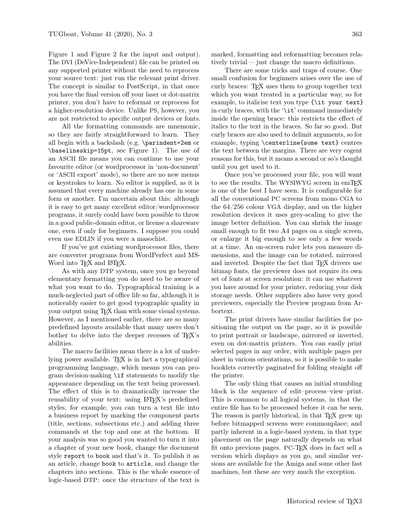Figure 1 and Figure 2 for the input and output). The DVI (DeVice-Independent) file can be printed on any supported printer without the need to reprocess your source text: just run the relevant print driver. The concept is similar to PostScript, in that once you have the final version off your laser or dot-matrix printer, you don't have to reformat or reprocess for a higher-resolution device. Unlike PS, however, you are not restricted to specific output devices or fonts.

All the formatting commands are mnemonic, so they are fairly straightforward to learn. They all begin with a backslash (e.g. \parindent=2em or \baselineskip=15pt, see Figure 1). The use of an ASCII file means you can continue to use your favourite editor (or wordprocessor in 'non-document' or 'ASCII export' mode), so there are no new menus or keystrokes to learn. No editor is supplied, as it is assumed that every machine already has one in some form or another. I'm uncertain about this: although it is easy to get many excellent editor/wordprocessor programs, it surely could have been possible to throw in a good public-domain editor, or license a shareware one, even if only for beginners. I suppose you could even use EDLIN if you were a masochist.

If you've got existing wordprocessor files, there are converter programs from WordPerfect and MS-Word into T<sub>F</sub>X and L<sup>AT</sup>F<sub>X</sub>.

As with any DTP system, once you go beyond elementary formatting you do need to be aware of what you want to do. Typographical training is a much-neglected part of office life so far, although it is noticeably easier to get good typographic quality in your output using TEX than with some visual systems. However, as I mentioned earlier, there are so many predefined layouts available that many users don't bother to delve into the deeper recesses of TEX's abilities.

The macro facilities mean there is a lot of underlying power available. T<sub>F</sub>X is in fact a typographical programming language, which means you can program decision-making \if statements to modify the appearance depending on the text being processed. The effect of this is to dramatically increase the reusability of your text: using LAT<sub>EX</sub>'s predefined styles, for example, you can turn a text file into a business report by marking the component parts (title, sections, subsections etc.) and adding three commands at the top and one at the bottom. If your analysis was so good you wanted to turn it into a chapter of your new book, change the document style report to book and that's it. To publish it as an article, change book to article, and change the chapters into sections. This is the whole essence of logic-based DTP: once the structure of the text is

marked, formatting and reformatting becomes relatively trivial — just change the macro definitions.

There are some tricks and traps of course. One small confusion for beginners arises over the use of curly braces: TEX uses them to group together text which you want treated in a particular way, so for example, to italicise text you type {\it your text} in curly braces, with the '\it' command immediately inside the opening brace: this restricts the effect of italics to the text in the braces. So far so good. But curly braces are also used to delimit arguments, so for example, typing \centerline{some text} centres the text between the margins. There are very cogent reasons for this, but it means a second or so's thought until you get used to it.

Once you've processed your file, you will want to see the results. The WYSIWYG screen in emT<sub>F</sub>X is one of the best I have seen. It is configurable for all the conventional PC screens from mono CGA to the 64/256 colour VGA display, and on the higher resolution devices it uses grey-scaling to give the image better definition. You can shrink the image small enough to fit two A4 pages on a single screen, or enlarge it big enough to see only a few words at a time. An on-screen ruler lets you measure dimensions, and the image can be rotated, mirrored and inverted. Despite the fact that TFX drivers use bitmap fonts, the previewer does not require its own set of fonts at screen resolution: it can use whatever you have around for your printer, reducing your disk storage needs. Other suppliers also have very good previewers, especially the Preview program from Arbortext.

The print drivers have similar facilities for positioning the output on the page, so it is possible to print portrait or landscape, mirrored or inverted, even on dot-matrix printers. You can easily print selected pages in any order, with multiple pages per sheet in various orientations, so it is possible to make booklets correctly paginated for folding straight off the printer.

The only thing that causes an initial stumbling block is the sequence of edit–process–view–print. This is common to all logical systems, in that the entire file has to be processed before it can be seen. The reason is partly historical, in that TFX grew up before bitmapped screens were commonplace; and partly inherent in a logic-based system, in that type placement on the page naturally depends on what fit onto previous pages. PC-TEX does in fact sell a version which displays as you go, and similar versions are available for the Amiga and some other fast machines, but these are very much the exception.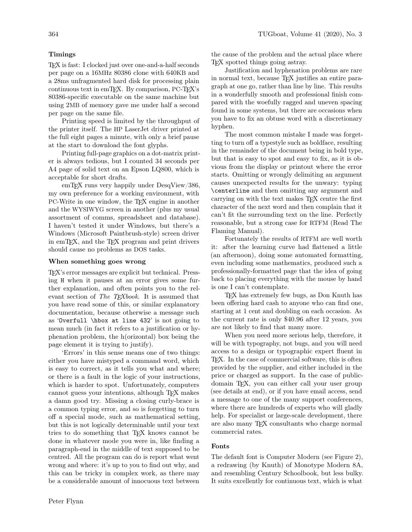# Timings

TEX is fast: I clocked just over one-and-a-half seconds per page on a 16MHz 80386 clone with 640KB and a 28ms unfragmented hard disk for processing plain continuous text in emTEX. By comparison, PC-TEX's 80386-specific executable on the same machine but using 2MB of memory gave me under half a second per page on the same file.

Printing speed is limited by the throughput of the printer itself. The HP LaserJet driver printed at the full eight pages a minute, with only a brief pause at the start to download the font glyphs.

Printing full-page graphics on a dot-matrix printer is always tedious, but I counted 34 seconds per A4 page of solid text on an Epson LQ800, which is acceptable for short drafts.

emTEX runs very happily under DesqView/386, my own preference for a working environment, with PC-Write in one window, the TEX engine in another and the WYSIWYG screen in another (plus my usual assortment of comms, spreadsheet and database). I haven't tested it under Windows, but there's a Windows (Microsoft Paintbrush-style) screen driver in emTEX, and the TEX program and print drivers should cause no problems as DOS tasks.

## When something goes wrong

TEX's error messages are explicit but technical. Pressing H when it pauses at an error gives some further explanation, and often points you to the relevant section of The T<sub>E</sub>Xbook. It is assumed that you have read some of this, or similar explanatory documentation, because otherwise a message such as 'Overfull \hbox at line 432' is not going to mean much (in fact it refers to a justification or hyphenation problem, the h(orizontal) box being the page element it is trying to justify).

'Errors' in this sense means one of two things: either you have mistyped a command word, which is easy to correct, as it tells you what and where; or there is a fault in the logic of your instructions, which is harder to spot. Unfortunately, computers cannot guess your intentions, although TEX makes a damn good try. Missing a closing curly-brace is a common typing error, and so is forgetting to turn off a special mode, such as mathematical setting, but this is not logically determinable until your text tries to do something that TEX knows cannot be done in whatever mode you were in, like finding a paragraph-end in the middle of text supposed to be centred. All the program can do is report what went wrong and where: it's up to you to find out why, and this can be tricky in complex work, as there may be a considerable amount of innocuous text between

the cause of the problem and the actual place where TEX spotted things going astray.

Justification and hyphenation problems are rare in normal text, because TEX justifies an entire paragraph at one go, rather than line by line. This results in a wonderfully smooth and professional finish compared with the woefully ragged and uneven spacing found in some systems, but there are occasions when you have to fix an obtuse word with a discretionary hyphen.

The most common mistake I made was forgetting to turn off a typestyle such as boldface, resulting in the remainder of the document being in bold type, but that is easy to spot and easy to fix, as it is obvious from the display or printout where the error starts. Omitting or wrongly delimiting an argument causes unexpected results for the unwary: typing \centerline and then omitting any argument and carrying on with the text makes TEX centre the first character of the next word and then complain that it can't fit the surrounding text on the line. Perfectly reasonable, but a strong case for RTFM (Read The Flaming Manual).

Fortunately the results of RTFM are well worth it: after the learning curve had flattened a little (an afternoon), doing some automated formatting, even including some mathematics, produced such a professionally-formatted page that the idea of going back to placing everything with the mouse by hand is one I can't contemplate.

TEX has extremely few bugs, as Don Knuth has been offering hard cash to anyone who can find one, starting at 1 cent and doubling on each occasion. As the current rate is only \$40.96 after 12 years, you are not likely to find that many more.

When you need more serious help, therefore, it will be with typography, not bugs, and you will need access to a design or typographic expert fluent in TEX. In the case of commercial software, this is often provided by the supplier, and either included in the price or charged as support. In the case of publicdomain TEX, you can either call your user group (see details at end), or if you have email access, send a message to one of the many support conferences, where there are hundreds of experts who will gladly help. For specialist or large-scale development, there are also many TEX consultants who charge normal commercial rates.

# Fonts

The default font is Computer Modern (see Figure 2), a redrawing (by Knuth) of Monotype Modern 8A, and resembling Century Schoolbook, but less bulky. It suits excellently for continuous text, which is what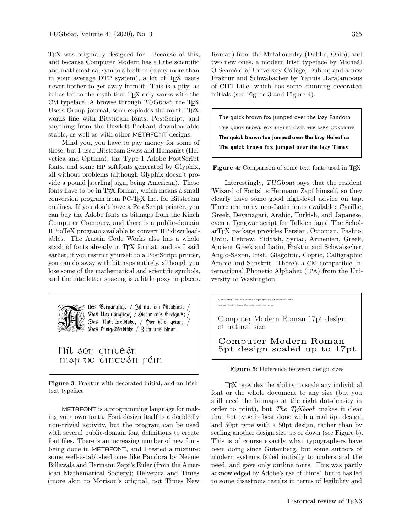TEX was originally designed for. Because of this, and because Computer Modern has all the scientific and mathematical symbols built-in (many more than in your average DTP system), a lot of TEX users never bother to get away from it. This is a pity, as it has led to the myth that TEX only works with the CM typeface. A browse through  $TUGboat$ , the T<sub>F</sub>X Users Group journal, soon explodes the myth: TEX works fine with Bitstream fonts, PostScript, and anything from the Hewlett-Packard downloadable stable, as well as with other METAFONT designs.

Mind you, you have to pay money for some of these, but I used Bitstream Swiss and Humanist (Helvetica and Optima), the Type 1 Adobe PostScript fonts, and some HP softfonts generated by Glyphix, all without problems (although Glyphix doesn't provide a pound [sterling] sign, being American). These fonts have to be in T<sub>E</sub>X format, which means a small conversion program from PC-TEX Inc. for Bitstream outlines. If you don't have a PostScript printer, you can buy the Adobe fonts as bitmaps from the Kinch Computer Company, and there is a public-domain HPtoTeX program available to convert HP downloadables. The Austin Code Works also has a whole stash of fonts already in TEX format, and as I said earlier, if you restrict yourself to a PostScript printer, you can do away with bitmaps entirely, although you lose some of the mathematical and scientific symbols, and the interletter spacing is a little poxy in places.



lles Vergängliche / Jft nur ein Gleichnis; / Das Unzulängliche, / Hier wird's Ereignis; / Das Unbeschreibliche, / Hier ift's getan; / Das Ewig-Weibliche / Zieht uns hinan.

Nil aon tintean man oo <del>c</del>inteán féin

Figure 3: Fraktur with decorated initial, and an Irish text typeface

METAFONT is a programming language for making your own fonts. Font design itself is a decidedly non-trivial activity, but the program can be used with several public-domain font definitions to create font files. There is an increasing number of new fonts being done in METAFONT, and I tested a mixture: some well-established ones like Pandora by Neenie Billawala and Hermann Zapf's Euler (from the American Mathematical Society); Helvetica and Times (more akin to Morison's original, not Times New

Roman) from the MetaFoundry (Dublin, Ohio); and two new ones, a modern Irish typeface by Micheál Ó Searcóid of University College, Dublin; and a new Fraktur and Schwabacher by Yannis Haralambous of CITI Lille, which has some stunning decorated initials (see Figure 3 and Figure 4).

The quick brown fox jumped over the lazy Pandora THE QUICK BROWN FOX JUMPED OVER THE LAZY CONCRETE The quick brown fox jumped over the lazy Helvetica The quick brown fox jumped over the lazy Times

Figure 4: Comparison of some text fonts used in TEX

Interestingly, TUGboat says that the resident 'Wizard of Fonts' is Hermann Zapf himself, so they clearly have some good high-level advice on tap. There are many non-Latin fonts available: Cyrillic, Greek, Devanagari, Arabic, Turkish, and Japanese, even a Tengwar script for Tolkien fans! The ScholarTEX package provides Persian, Ottoman, Pashto, Urdu, Hebrew, Yiddish, Syriac, Armenian, Greek, Ancient Greek and Latin, Fraktur and Schwabacher, Anglo-Saxon, Irish, Glagolitic, Coptic, Calligraphic Arabic and Sanskrit. There's a CM-compatible International Phonetic Alphabet (IPA) from the University of Washington.

Computer Modern Roman 5pt design at natural size Computer Modern Roman 17pt design scaled down to 5pt

Computer Modern Roman 17pt design at natural size

Computer Modern Roman 5pt design scaled up to 17pt

Figure 5: Difference between design sizes

TEX provides the ability to scale any individual font or the whole document to any size (but you still need the bitmaps at the right dot-density in order to print), but The T<sub>E</sub>Xbook makes it clear that 5pt type is best done with a real 5pt design, and 50pt type with a 50pt design, rather than by scaling another design size up or down (see Figure 5). This is of course exactly what typographers have been doing since Gutenberg, but some authors of modern systems failed initially to understand the need, and gave only outline fonts. This was partly acknowledged by Adobe's use of 'hints', but it has led to some disastrous results in terms of legibility and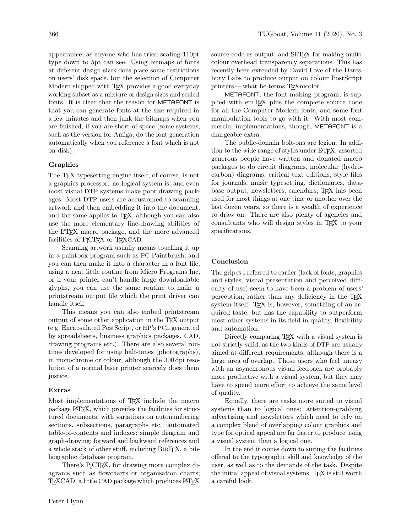appearance, as anyone who has tried scaling 110pt type down to 5pt can see. Using bitmaps of fonts at different design sizes does place some restrictions on users' disk space, but the selection of Computer Modern shipped with T<sub>EX</sub> provides a good everyday working subset as a mixture of design sizes and scaled fonts. It is clear that the reason for METAFONT is that you can generate fonts at the size required in a few minutes and then junk the bitmaps when you are finished, if you are short of space (some systems, such as the version for Amiga, do the font generation automatically when you reference a font which is not on disk).

### Graphics

The T<sub>EX</sub> typesetting engine itself, of course, is not a graphics processor: no logical system is, and even most visual DTP systems make poor drawing packages. Most DTP users are accustomed to scanning artwork and then embedding it into the document, and the same applies to TEX, although you can also use the more elementary line-drawing abilities of the LATEX macro package, and the more advanced facilities of P<sub>I</sub>CI<sub>F</sub>X or T<sub>F</sub>XCAD.

Scanning artwork usually means touching it up in a paintbox program such as PC Paintbrush, and you can then make it into a character in a font file, using a neat little routine from Micro Programs Inc, or if your printer can't handle large downloadable glyphs, you can use the same routine to make a printstream output file which the print driver can handle itself.

This means you can also embed printstream output of some other application in the TEX output (e.g. Encapsulated PostScript, or HP's PCL generated by spreadsheets, business graphics packages, CAD, drawing programs etc.). There are also several routines developed for using half-tones (photographs), in monochrome or colour, although the 300 dpi resolution of a normal laser printer scarcely does them justice.

### Extras

Most implementations of T<sub>E</sub>X include the macro package LATEX, which provides the facilities for structured documents, with variations on autonumbering sections, subsections, paragraphs etc.; automated table-of-contents and indexes; simple diagram and graph-drawing; forward and backward references and a whole stack of other stuff, including BibTEX, a bibliographic database program.

There's P<sub>I</sub>CT<sub>E</sub>X, for drawing more complex diagrams such as flowcharts or organisation charts; TFXCAD, a little CAD package which produces LATFX source code as output; and SliT<sub>E</sub>X for making multicolour overhead transparency separations. This has recently been extended by David Love of the Daresbury Labs to produce output on colour PostScript printers — what he terms TEXnicolor.

METAFONT, the font-making program, is supplied with emTEX plus the complete source code for all the Computer Modern fonts, and some font manipulation tools to go with it. With most commercial implementations, though, METAFONT is a chargeable extra.

The public-domain bolt-ons are legion. In addition to the wide range of styles under LAT<sub>EX</sub>, assorted generous people have written and donated macro packages to do circuit diagrams, molecular (hydrocarbon) diagrams, critical text editions, style files for journals, music typesetting, dictionaries, database output, newsletters, calendars; TEX has been used for most things at one time or another over the last dozen years, so there is a wealth of experience to draw on. There are also plenty of agencies and consultants who will design styles in TEX to your specifications.

### Conclusion

The gripes I referred to earlier (lack of fonts, graphics and styles, visual presentation and perceived difficulty of use) seem to have been a problem of users' perception, rather than any deficiency in the TEX system itself. T<sub>F</sub>X is, however, something of an acquired taste, but has the capability to outperform most other systems in its field in quality, flexibility and automation.

Directly comparing T<sub>EX</sub> with a visual system is not strictly valid, as the two kinds of DTP are usually aimed at different requirements, although there is a large area of overlap. Those users who feel uneasy with an asynchronous visual feedback are probably more productive with a visual system, but they may have to spend more effort to achieve the same level of quality.

Equally, there are tasks more suited to visual systems than to logical ones: attention-grabbing advertising and newsletters which need to rely on a complex blend of overlapping colour graphics and type for optical appeal are far faster to produce using a visual system than a logical one.

In the end it comes down to suiting the facilities offered to the typographic skill and knowledge of the user, as well as to the demands of the task. Despite the initial appeal of visual systems, TEX is still worth a careful look.